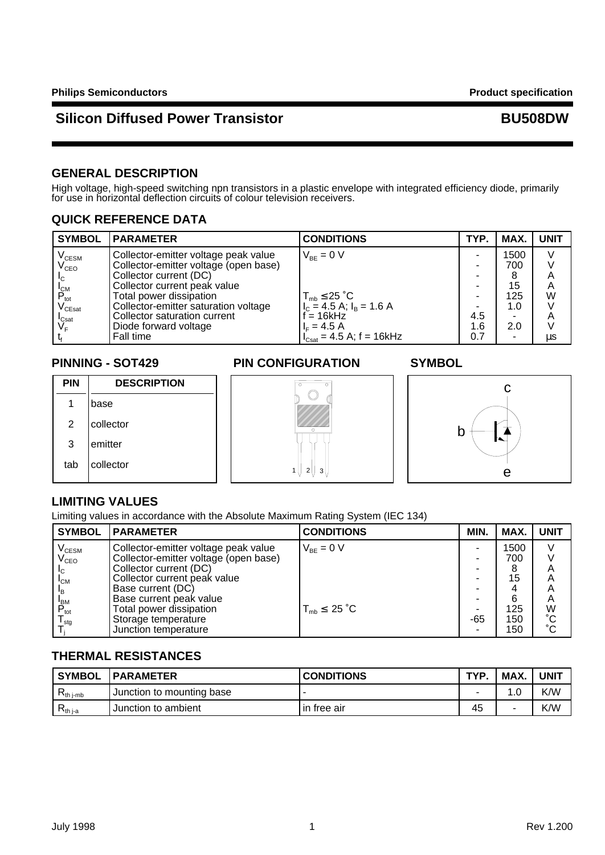### **GENERAL DESCRIPTION**

High voltage, high-speed switching npn transistors in a plastic envelope with integrated efficiency diode, primarily for use in horizontal deflection circuits of colour television receivers.

### **QUICK REFERENCE DATA**

| <b>SYMBOL</b>                                                                            | <b>IPARAMETER</b>                                                                                                                                                                                          | <b>CONDITIONS</b>                                                                           | TYP.              | MAX.                            | <b>UNIT</b>      |
|------------------------------------------------------------------------------------------|------------------------------------------------------------------------------------------------------------------------------------------------------------------------------------------------------------|---------------------------------------------------------------------------------------------|-------------------|---------------------------------|------------------|
| V <sub>CESM</sub><br>V <sub>CEO</sub><br>I <sub>C</sub><br>$P_{\rm tot} \ V_{\rm CEsat}$ | Collector-emitter voltage peak value<br>Collector-emitter voltage (open base)<br>Collector current (DC)<br>Collector current peak value<br>Total power dissipation<br>Collector-emitter saturation voltage | $V_{BF} = 0 V$<br>$T_{mb} \le 25$ °C<br>$I_c = 4.5$ A; $I_B = 1.6$ A                        |                   | 1500<br>700<br>15<br>125<br>1.0 | V<br>Α<br>A<br>W |
| $I_{\text{Cast}}$<br>VF.                                                                 | Collector saturation current<br>Diode forward voltage<br>Fall time                                                                                                                                         | $\approx$ = 16kHz<br>$I_c = 4.5 A$<br>$I_{\text{Csat}} = 4.5 \text{ A}; f = 16 \text{ kHz}$ | 4.5<br>1.6<br>0.7 | 2.0                             | Α<br>μs          |

| PIN | <b>DESCRIPTION</b> |
|-----|--------------------|
|     | base               |
| 2   | collector          |
| 3   | emitter            |
| tab | collector          |

### **PINNING - SOT429 PIN CONFIGURATION SYMBOL**



# **LIMITING VALUES**

Limiting values in accordance with the Absolute Maximum Rating System (IEC 134)

| <b>SYMBOL</b>               | <b>PARAMETER</b>                      | <b>CONDITIONS</b>          | MIN. | MAX. | <b>UNIT</b>     |
|-----------------------------|---------------------------------------|----------------------------|------|------|-----------------|
| $\rm V_{\rm CESM}$          | Collector-emitter voltage peak value  | $V_{BE} = 0 V$             |      | 1500 |                 |
| $\mathsf{V}_{\mathsf{CEO}}$ | Collector-emitter voltage (open base) |                            |      | 700  |                 |
|                             | Collector current (DC)                |                            |      |      | Α               |
| $I_{CM}$                    | Collector current peak value          |                            | -    | 15   | A               |
| $\mathsf{I}_{\mathsf{B}}$   | Base current (DC)                     |                            | -    |      | A               |
| <b>BM</b>                   | Base current peak value               |                            | -    | 6    | A               |
| $P_{\text{tot}}$            | Total power dissipation               | $T_{mb} \leq 25 \degree C$ |      | 125  | W               |
| l <sub>stq</sub>            | Storage temperature                   |                            | -65  | 150  | $\rm ^{\circ}C$ |
|                             | Junction temperature                  |                            |      | 150  | $\rm ^{\circ}C$ |

1 | | 2 | | 3

∩

### **THERMAL RESISTANCES**

| ' SYMBOL         | <b>IPARAMETER</b>         | <b>CONDITIONS</b> | TYP. | <b>MAX</b> | UNIT |
|------------------|---------------------------|-------------------|------|------------|------|
| <b>N</b> th i-mb | Junction to mounting base |                   |      |            | K/W  |
| $\nabla$ th i-a  | Junction to ambient       | l in free air     | 45   |            | K/W  |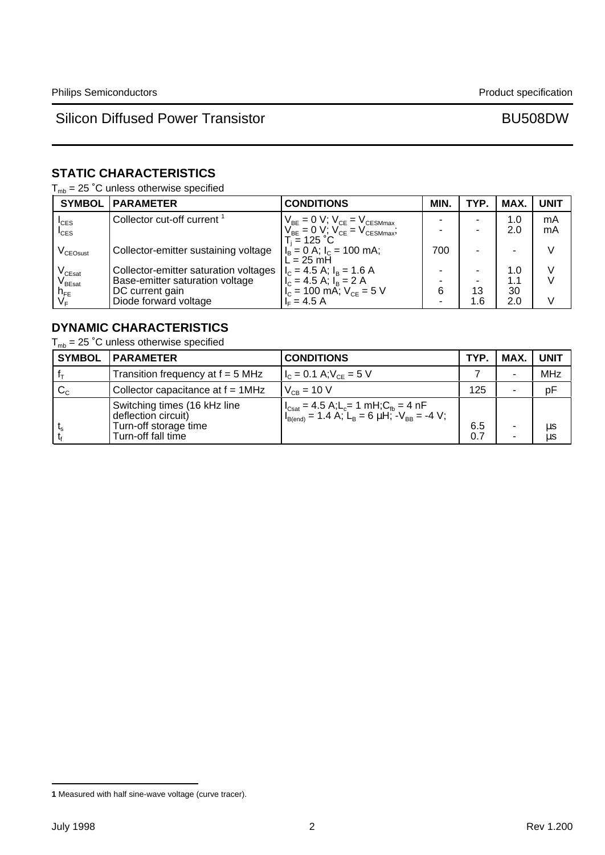# **STATIC CHARACTERISTICS**

 $T_{mb}$  = 25 °C unless otherwise specified

| <b>SYMBOL</b>                     | <b>PARAMETER</b>                       | <b>CONDITIONS</b>                                                                                                                                           | MIN. | TYP. | <b>MAX</b> | <b>UNIT</b> |
|-----------------------------------|----------------------------------------|-------------------------------------------------------------------------------------------------------------------------------------------------------------|------|------|------------|-------------|
| $I_{CES}$                         | Collector cut-off current <sup>1</sup> | $\begin{array}{c} V_{\text{BE}}=0 \text{ V};\ V_{\text{CE}}=V_{\text{CESMmax}}\\ V_{\text{BE}}=0 \text{ V};\ V_{\text{CE}}=V_{\text{CESMmax}}; \end{array}$ |      |      | 1.0        | mA          |
| $I_{\text{CES}}$                  |                                        | $T_i = 125 °C$                                                                                                                                              |      |      | 2.0        | mA          |
| V <sub>CEOsust</sub>              | Collector-emitter sustaining voltage   | $I_B = 0$ A; $I_C = 100$ mA;<br>$\mathsf{L} = 25 \mathsf{m} \mathsf{H}$                                                                                     | 700  |      | -          | V           |
| $V_{CEsat}$                       | Collector-emitter saturation voltages  | $I_c = 4.5$ A; $I_B = 1.6$ A                                                                                                                                |      |      | 1.0        |             |
| $\rm V_{\rm BEsat}$               | Base-emitter saturation voltage        | $\begin{vmatrix} 1 & 1 \\ 1 & 2 \end{vmatrix}$ = 4.5 A; $1\frac{1}{B}$ = 2 A<br>$1\frac{1}{C}$ = 100 mA; $V_{CE}$ = 5 V                                     |      |      | 1.1        |             |
| h <sub>FE</sub><br>V <sub>F</sub> | DC current gain                        |                                                                                                                                                             | 6    | 13   | 30         |             |
|                                   | Diode forward voltage                  | $IE = 4.5 A$                                                                                                                                                |      | 1.6  | 2.0        | V           |

### **DYNAMIC CHARACTERISTICS**

 $T_{mb}$  = 25 °C unless otherwise specified

| <b>SYMBOL</b> | <b>PARAMETER</b>                                                                                   | <b>CONDITIONS</b>                                                                                                                                                                                                                 | TYP.       | MAX.   | <b>UNIT</b> |
|---------------|----------------------------------------------------------------------------------------------------|-----------------------------------------------------------------------------------------------------------------------------------------------------------------------------------------------------------------------------------|------------|--------|-------------|
|               | Transition frequency at $f = 5$ MHz                                                                | $I_c = 0.1 A; V_{CF} = 5 V$                                                                                                                                                                                                       |            | ۰      | <b>MHz</b>  |
| $C_{C}$       | Collector capacitance at $f = 1$ MHz                                                               | $V_{CB} = 10 V$                                                                                                                                                                                                                   | 125        | $\sim$ | pF          |
|               | Switching times (16 kHz line<br>deflection circuit)<br>Turn-off storage time<br>Turn-off fall time | $\begin{cases} I_{\text{Csat}} = 4.5 \text{ A}; L_{\text{c}} = 1 \text{ mH}; C_{\text{fb}} = 4 \text{ nF} \\ I_{\text{B(end)}} = 1.4 \text{ A}; L_{\text{B}} = 6 \text{ }\mu\text{H}; -V_{\text{BB}} = -4 \text{ V}; \end{cases}$ | 6.5<br>0.7 | ۰<br>٠ | μs<br>μs    |

**<sup>1</sup>** Measured with half sine-wave voltage (curve tracer).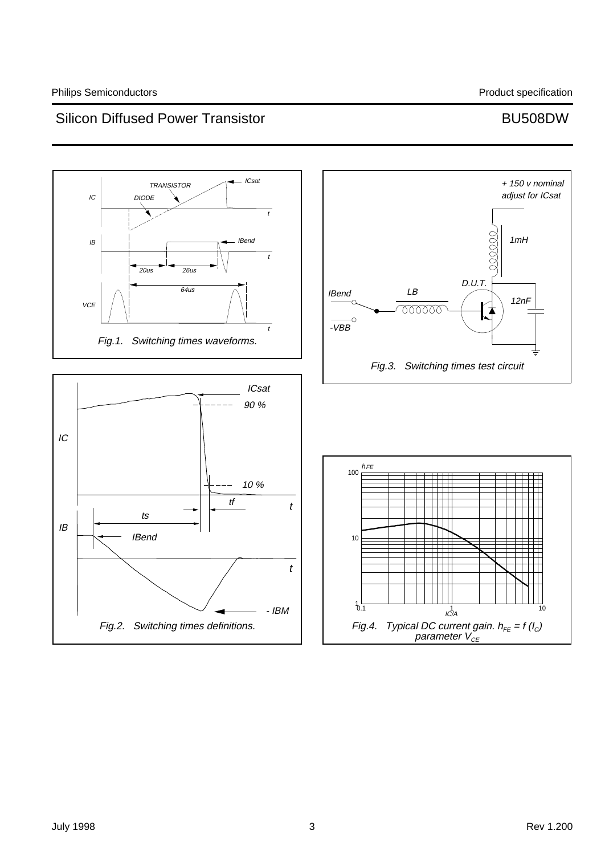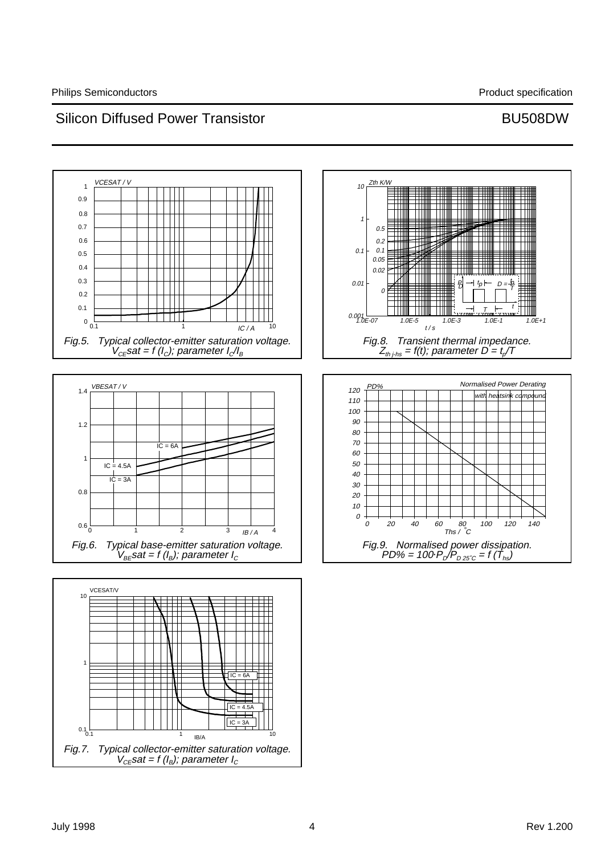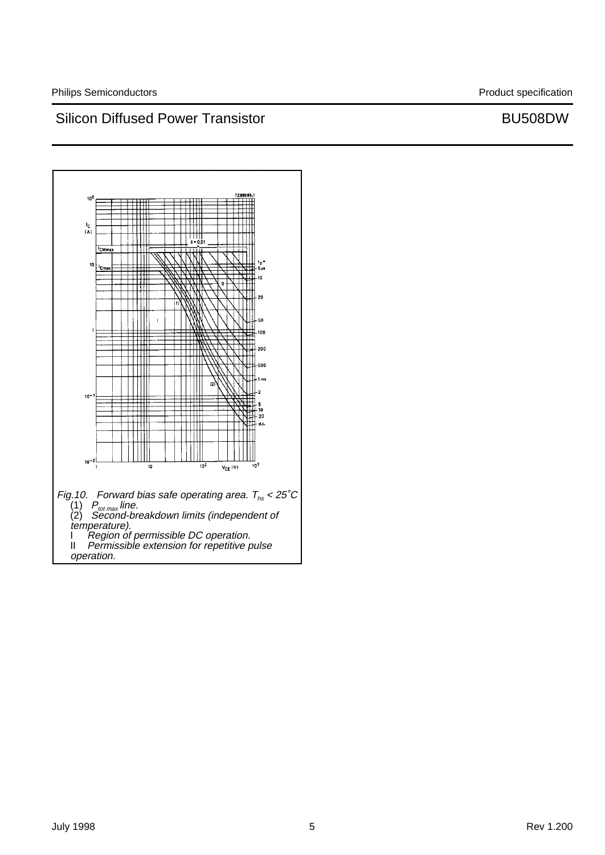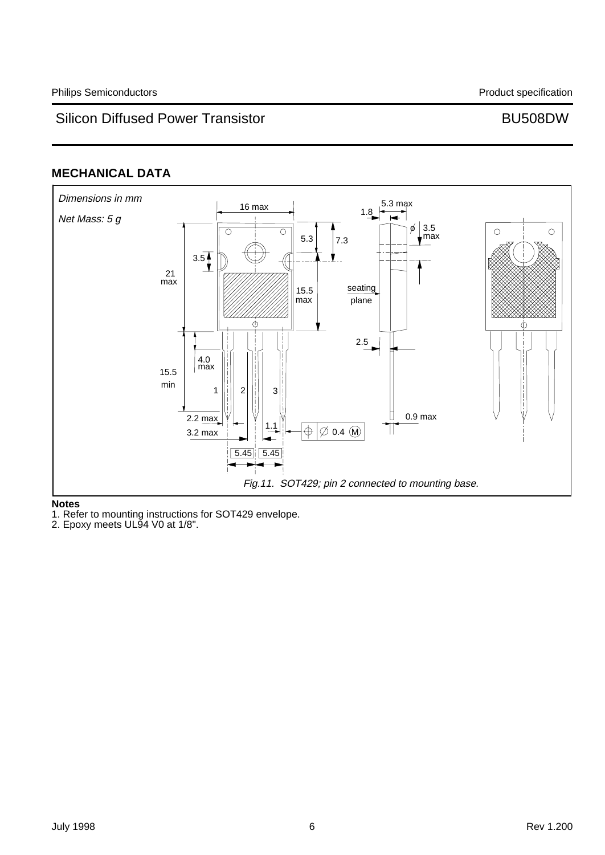## **MECHANICAL DATA**



### **Notes**

1. Refer to mounting instructions for SOT429 envelope.

2. Epoxy meets UL94 V0 at 1/8".